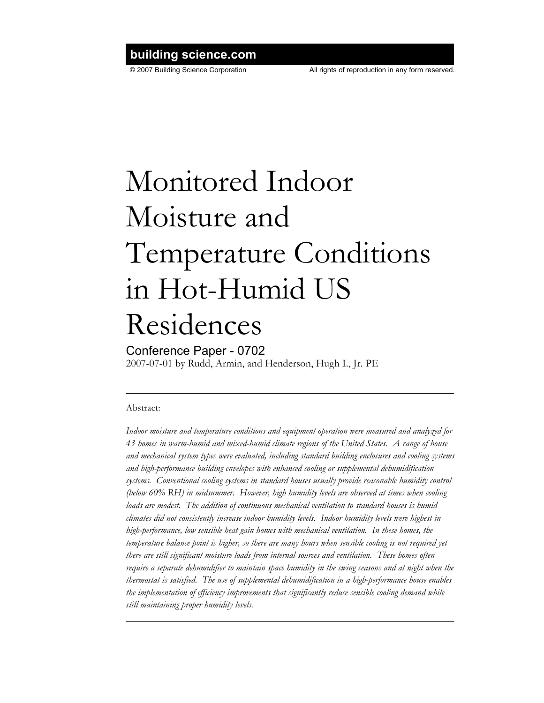## **building science.com**

# Monitored Indoor Moisture and Temperature Conditions in Hot-Humid US Residences

### Conference Paper - 0702

2007-07-01 by Rudd, Armin, and Henderson, Hugh I., Jr. PE

#### Abstract:

*Indoor moisture and temperature conditions and equipment operation were measured and analyzed for 43 homes in warm-humid and mixed-humid climate regions of the United States. A range of house and mechanical system types were evaluated, including standard building enclosures and cooling systems and high-performance building envelopes with enhanced cooling or supplemental dehumidification systems. Conventional cooling systems in standard houses usually provide reasonable humidity control (below 60% RH) in midsummer. However, high humidity levels are observed at times when cooling loads are modest. The addition of continuous mechanical ventilation to standard houses is humid climates did not consistently increase indoor humidity levels. Indoor humidity levels were highest in high-performance, low sensible heat gain homes with mechanical ventilation. In these homes, the temperature balance point is higher, so there are many hours when sensible cooling is not required yet there are still significant moisture loads from internal sources and ventilation. These homes often require a separate dehumidifier to maintain space humidity in the swing seasons and at night when the thermostat is satisfied. The use of supplemental dehumidification in a high-performance house enables the implementation of efficiency improvements that significantly reduce sensible cooling demand while still maintaining proper humidity levels.*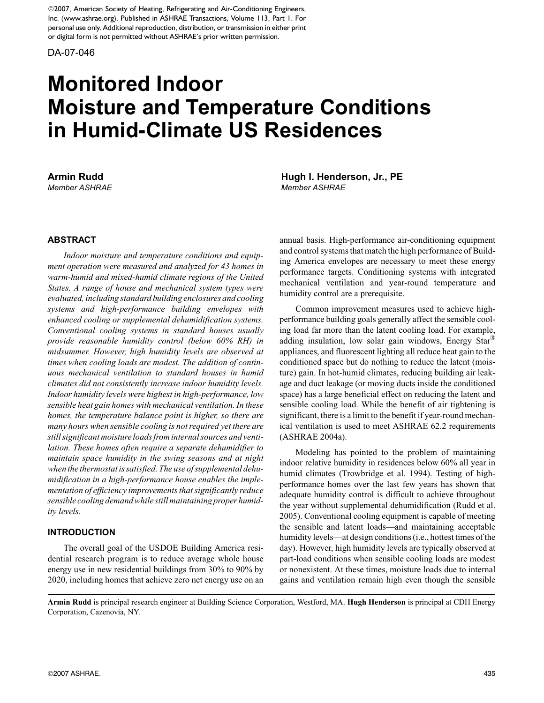©2007, American Society of Heating, Refrigerating and Air-Conditioning Engineers, Inc. (www.ashrae.org). Published in ASHRAE Transactions, Volume 113, Part 1. For personal use only. Additional reproduction, distribution, or transmission in either print or digital form is not permitted without ASHRAE's prior written permission.

DA-07-046

# **Monitored Indoor Moisture and Temperature Conditions in Humid-Climate US Residences**

#### **ABSTRACT**

*Indoor moisture and temperature conditions and equipment operation were measured and analyzed for 43 homes in warm-humid and mixed-humid climate regions of the United States. A range of house and mechanical system types were evaluated, including standard building enclosures and cooling systems and high-performance building envelopes with enhanced cooling or supplemental dehumidification systems. Conventional cooling systems in standard houses usually provide reasonable humidity control (below 60% RH) in midsummer. However, high humidity levels are observed at times when cooling loads are modest. The addition of continuous mechanical ventilation to standard houses in humid climates did not consistently increase indoor humidity levels. Indoor humidity levels were highest in high-performance, low sensible heat gain homes with mechanical ventilation. In these homes, the temperature balance point is higher, so there are many hours when sensible cooling is not required yet there are still significant moisture loads from internal sources and ventilation. These homes often require a separate dehumidifier to maintain space humidity in the swing seasons and at night when the thermostat is satisfied. The use of supplemental dehumidification in a high-performance house enables the implementation of efficiency improvements that significantly reduce sensible cooling demand while still maintaining proper humidity levels.*

#### **INTRODUCTION**

The overall goal of the USDOE Building America residential research program is to reduce average whole house energy use in new residential buildings from 30% to 90% by 2020, including homes that achieve zero net energy use on an

**Armin Rudd Hugh I. Henderson, Jr., PE** *Member ASHRAE Member ASHRAE*

> annual basis. High-performance air-conditioning equipment and control systems that match the high performance of Building America envelopes are necessary to meet these energy performance targets. Conditioning systems with integrated mechanical ventilation and year-round temperature and humidity control are a prerequisite.

> Common improvement measures used to achieve highperformance building goals generally affect the sensible cooling load far more than the latent cooling load. For example, adding insulation, low solar gain windows, Energy Star® appliances, and fluorescent lighting all reduce heat gain to the conditioned space but do nothing to reduce the latent (moisture) gain. In hot-humid climates, reducing building air leakage and duct leakage (or moving ducts inside the conditioned space) has a large beneficial effect on reducing the latent and sensible cooling load. While the benefit of air tightening is significant, there is a limit to the benefit if year-round mechanical ventilation is used to meet ASHRAE 62.2 requirements (ASHRAE 2004a).

> Modeling has pointed to the problem of maintaining indoor relative humidity in residences below 60% all year in humid climates (Trowbridge et al. 1994). Testing of highperformance homes over the last few years has shown that adequate humidity control is difficult to achieve throughout the year without supplemental dehumidification (Rudd et al. 2005). Conventional cooling equipment is capable of meeting the sensible and latent loads—and maintaining acceptable humidity levels—at design conditions (i.e., hottest times of the day). However, high humidity levels are typically observed at part-load conditions when sensible cooling loads are modest or nonexistent. At these times, moisture loads due to internal gains and ventilation remain high even though the sensible

**Armin Rudd** is principal research engineer at Building Science Corporation, Westford, MA. **Hugh Henderson** is principal at CDH Energy Corporation, Cazenovia, NY.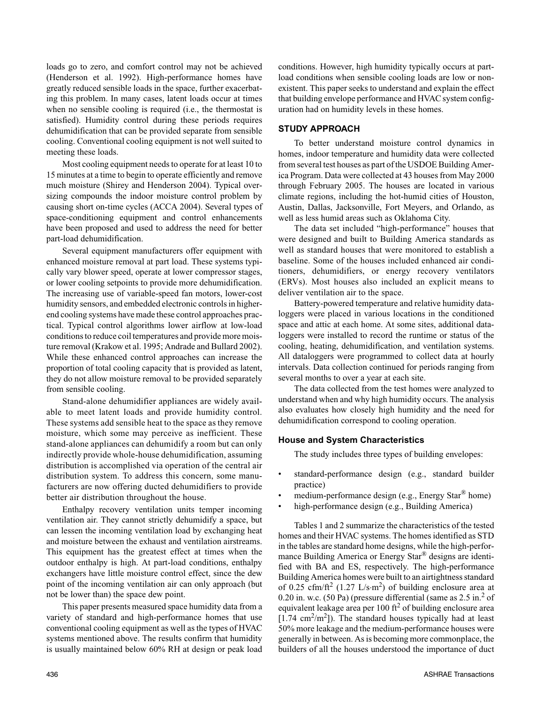loads go to zero, and comfort control may not be achieved (Henderson et al. 1992). High-performance homes have greatly reduced sensible loads in the space, further exacerbating this problem. In many cases, latent loads occur at times when no sensible cooling is required (i.e., the thermostat is satisfied). Humidity control during these periods requires dehumidification that can be provided separate from sensible cooling. Conventional cooling equipment is not well suited to meeting these loads.

Most cooling equipment needs to operate for at least 10 to 15 minutes at a time to begin to operate efficiently and remove much moisture (Shirey and Henderson 2004). Typical oversizing compounds the indoor moisture control problem by causing short on-time cycles (ACCA 2004). Several types of space-conditioning equipment and control enhancements have been proposed and used to address the need for better part-load dehumidification.

Several equipment manufacturers offer equipment with enhanced moisture removal at part load. These systems typically vary blower speed, operate at lower compressor stages, or lower cooling setpoints to provide more dehumidification. The increasing use of variable-speed fan motors, lower-cost humidity sensors, and embedded electronic controls in higherend cooling systems have made these control approaches practical. Typical control algorithms lower airflow at low-load conditions to reduce coil temperatures and provide more moisture removal (Krakow et al. 1995; Andrade and Bullard 2002). While these enhanced control approaches can increase the proportion of total cooling capacity that is provided as latent, they do not allow moisture removal to be provided separately from sensible cooling.

Stand-alone dehumidifier appliances are widely available to meet latent loads and provide humidity control. These systems add sensible heat to the space as they remove moisture, which some may perceive as inefficient. These stand-alone appliances can dehumidify a room but can only indirectly provide whole-house dehumidification, assuming distribution is accomplished via operation of the central air distribution system. To address this concern, some manufacturers are now offering ducted dehumidifiers to provide better air distribution throughout the house.

Enthalpy recovery ventilation units temper incoming ventilation air. They cannot strictly dehumidify a space, but can lessen the incoming ventilation load by exchanging heat and moisture between the exhaust and ventilation airstreams. This equipment has the greatest effect at times when the outdoor enthalpy is high. At part-load conditions, enthalpy exchangers have little moisture control effect, since the dew point of the incoming ventilation air can only approach (but not be lower than) the space dew point.

This paper presents measured space humidity data from a variety of standard and high-performance homes that use conventional cooling equipment as well as the types of HVAC systems mentioned above. The results confirm that humidity is usually maintained below 60% RH at design or peak load conditions. However, high humidity typically occurs at partload conditions when sensible cooling loads are low or nonexistent. This paper seeks to understand and explain the effect that building envelope performance and HVAC system configuration had on humidity levels in these homes.

#### **STUDY APPROACH**

To better understand moisture control dynamics in homes, indoor temperature and humidity data were collected from several test houses as part of the USDOE Building America Program. Data were collected at 43 houses from May 2000 through February 2005. The houses are located in various climate regions, including the hot-humid cities of Houston, Austin, Dallas, Jacksonville, Fort Meyers, and Orlando, as well as less humid areas such as Oklahoma City.

The data set included "high-performance" houses that were designed and built to Building America standards as well as standard houses that were monitored to establish a baseline. Some of the houses included enhanced air conditioners, dehumidifiers, or energy recovery ventilators (ERVs). Most houses also included an explicit means to deliver ventilation air to the space.

Battery-powered temperature and relative humidity dataloggers were placed in various locations in the conditioned space and attic at each home. At some sites, additional dataloggers were installed to record the runtime or status of the cooling, heating, dehumidification, and ventilation systems. All dataloggers were programmed to collect data at hourly intervals. Data collection continued for periods ranging from several months to over a year at each site.

The data collected from the test homes were analyzed to understand when and why high humidity occurs. The analysis also evaluates how closely high humidity and the need for dehumidification correspond to cooling operation.

#### **House and System Characteristics**

The study includes three types of building envelopes:

- standard-performance design (e.g., standard builder practice)
- medium-performance design (e.g., Energy Star<sup>®</sup> home)
- high-performance design (e.g., Building America)

Tables 1 and 2 summarize the characteristics of the tested homes and their HVAC systems. The homes identified as STD in the tables are standard home designs, while the high-performance Building America or Energy Star<sup>®</sup> designs are identified with BA and ES, respectively. The high-performance Building America homes were built to an airtightness standard of 0.25 cfm/ft<sup>2</sup> (1.27 L/s⋅m<sup>2</sup>) of building enclosure area at 0.20 in. w.c.  $(50 \text{ Pa})$  (pressure differential (same as  $2.5 \text{ in.}^2$  of equivalent leakage area per 100  $\text{ft}^2$  of building enclosure area  $[1.74 \text{ cm}^2/\text{m}^2]$ ). The standard houses typically had at least 50% more leakage and the medium-performance houses were generally in between. As is becoming more commonplace, the builders of all the houses understood the importance of duct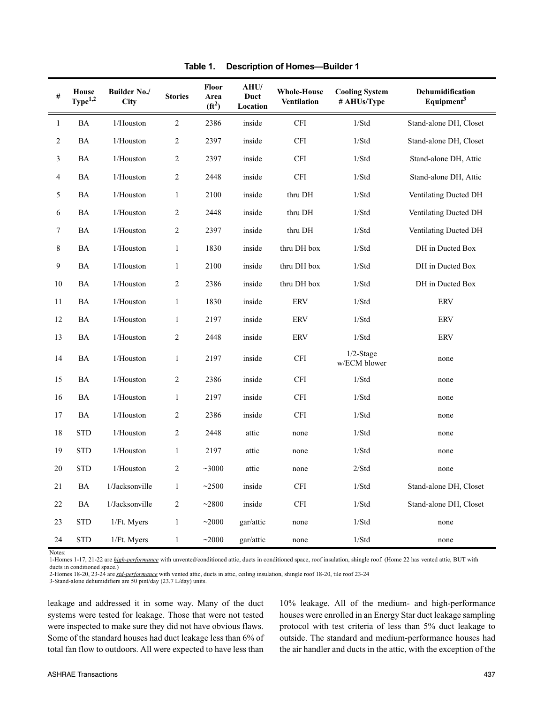| $\#$           | House<br>$\mathbf{Type}^{1,2}$ | <b>Builder No./</b><br>City | <b>Stories</b> | Floor<br>Area<br>$(f{t}^2)$ | AHU/<br>Duct<br>Location | <b>Whole-House</b><br><b>Ventilation</b> | <b>Cooling System</b><br># AHUs/Type | Dehumidification<br>Equipment <sup>3</sup> |
|----------------|--------------------------------|-----------------------------|----------------|-----------------------------|--------------------------|------------------------------------------|--------------------------------------|--------------------------------------------|
| $\mathbf{1}$   | <b>BA</b>                      | 1/Houston                   | $\overline{2}$ | 2386                        | inside                   | CFI                                      | 1/Std                                | Stand-alone DH, Closet                     |
| 2              | BA                             | 1/Houston                   | $\sqrt{2}$     | 2397                        | inside                   | CFI                                      | 1/Std                                | Stand-alone DH, Closet                     |
| 3              | <b>BA</b>                      | 1/Houston                   | $\sqrt{2}$     | 2397                        | inside                   | <b>CFI</b>                               | 1/Std                                | Stand-alone DH, Attic                      |
| $\overline{4}$ | BA                             | 1/Houston                   | $\sqrt{2}$     | 2448                        | inside                   | CFI                                      | 1/Std                                | Stand-alone DH, Attic                      |
| 5              | <b>BA</b>                      | 1/Houston                   | $\mathbf{1}$   | 2100                        | inside                   | thru DH                                  | 1/Std                                | Ventilating Ducted DH                      |
| 6              | <b>BA</b>                      | 1/Houston                   | $\overline{2}$ | 2448                        | inside                   | thru DH                                  | 1/Std                                | Ventilating Ducted DH                      |
| $\tau$         | BA                             | 1/Houston                   | $\sqrt{2}$     | 2397                        | inside                   | thru DH                                  | 1/Std                                | Ventilating Ducted DH                      |
| $\,8\,$        | <b>BA</b>                      | 1/Houston                   | $\mathbf{1}$   | 1830                        | inside                   | thru DH box                              | 1/Std                                | DH in Ducted Box                           |
| 9              | <b>BA</b>                      | 1/Houston                   | $\mathbf{1}$   | 2100                        | inside                   | thru DH box                              | 1/Std                                | DH in Ducted Box                           |
| $10\,$         | <b>BA</b>                      | 1/Houston                   | $\sqrt{2}$     | 2386                        | inside                   | thru DH box                              | 1/Std                                | DH in Ducted Box                           |
| 11             | BA                             | 1/Houston                   | $\mathbf{1}$   | 1830                        | inside                   | ERV                                      | 1/Std                                | ERV                                        |
| 12             | BA                             | 1/Houston                   | $\mathbf{1}$   | 2197                        | inside                   | ERV                                      | 1/Std                                | ERV                                        |
| 13             | BA                             | 1/Houston                   | $\sqrt{2}$     | 2448                        | inside                   | <b>ERV</b>                               | 1/Std                                | <b>ERV</b>                                 |
| 14             | <b>BA</b>                      | 1/Houston                   | $\mathbf{1}$   | 2197                        | inside                   | <b>CFI</b>                               | $1/2$ -Stage<br>w/ECM blower         | none                                       |
| 15             | BA                             | 1/Houston                   | $\sqrt{2}$     | 2386                        | inside                   | CFI                                      | 1/Std                                | none                                       |
| 16             | <b>BA</b>                      | 1/Houston                   | $\mathbf{1}$   | 2197                        | inside                   | CFI                                      | 1/Std                                | none                                       |
| 17             | <b>BA</b>                      | 1/Houston                   | 2              | 2386                        | inside                   | <b>CFI</b>                               | 1/Std                                | none                                       |
| 18             | <b>STD</b>                     | 1/Houston                   | $\sqrt{2}$     | 2448                        | attic                    | none                                     | 1/Std                                | none                                       |
| 19             | <b>STD</b>                     | 1/Houston                   | $\mathbf{1}$   | 2197                        | attic                    | none                                     | 1/Std                                | none                                       |
| 20             | <b>STD</b>                     | 1/Houston                   | $\sqrt{2}$     | ~1000                       | attic                    | none                                     | 2/Std                                | none                                       |
| 21             | BA                             | 1/Jacksonville              | $\mathbf{1}$   | ~2500                       | inside                   | $\operatorname{CFI}$                     | 1/Std                                | Stand-alone DH, Closet                     |
| 22             | BA                             | 1/Jacksonville              | $\sqrt{2}$     | ~2800                       | inside                   | $\operatorname{CFI}$                     | 1/Std                                | Stand-alone DH, Closet                     |
| 23             | <b>STD</b>                     | 1/Ft. Myers                 | $\mathbf{1}$   | ~2000                       | gar/attic                | none                                     | 1/Std                                | none                                       |
| 24             | <b>STD</b>                     | 1/Ft. Myers                 | $\mathbf{1}$   | ~2000                       | gar/attic                | none                                     | 1/Std                                | none                                       |

**Table 1. Description of Homes—Builder 1**

Notes:

1-Homes 1-17, 21-22 are *high-performance* with unvented/conditioned attic, ducts in conditioned space, roof insulation, shingle roof. (Home 22 has vented attic, BUT with ducts in conditioned space.)

3-Stand-alone dehumidifiers are 50 pint/day (23.7 L/day) units.

leakage and addressed it in some way. Many of the duct systems were tested for leakage. Those that were not tested were inspected to make sure they did not have obvious flaws. Some of the standard houses had duct leakage less than 6% of total fan flow to outdoors. All were expected to have less than

10% leakage. All of the medium- and high-performance houses were enrolled in an Energy Star duct leakage sampling protocol with test criteria of less than 5% duct leakage to outside. The standard and medium-performance houses had the air handler and ducts in the attic, with the exception of the

<sup>2-</sup>Homes 18-20, 23-24 are *std-performance* with vented attic, ducts in attic, ceiling insulation, shingle roof 18-20, tile roof 23-24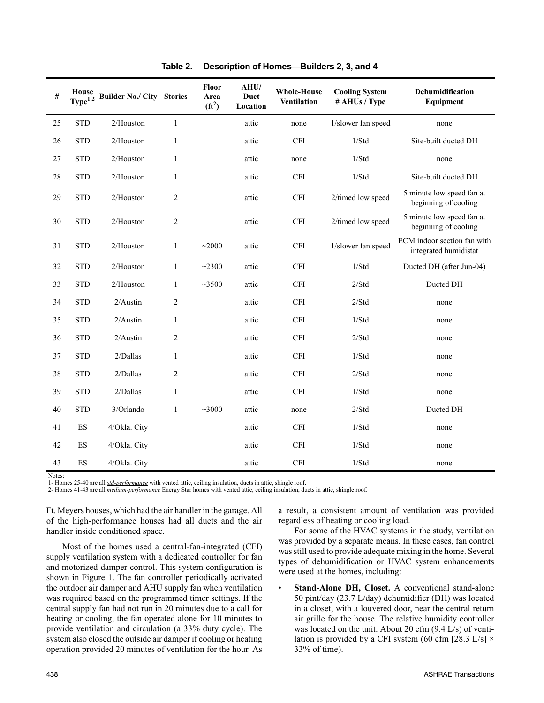| #  | House<br>Type <sup>1,2</sup> | <b>Builder No./ City</b> | <b>Stories</b> | Floor<br>Area<br>$(f t^2)$ | AHU/<br>Duct<br>Location | <b>Whole-House</b><br><b>Ventilation</b> | <b>Cooling System</b><br># AHUs / Type | Dehumidification<br>Equipment                        |
|----|------------------------------|--------------------------|----------------|----------------------------|--------------------------|------------------------------------------|----------------------------------------|------------------------------------------------------|
| 25 | <b>STD</b>                   | 2/Houston                | $\mathbf{1}$   |                            | attic                    | none                                     | 1/slower fan speed                     | none                                                 |
| 26 | <b>STD</b>                   | 2/Houston                | $\mathbf{1}$   |                            | attic                    | <b>CFI</b>                               | 1/Std                                  | Site-built ducted DH                                 |
| 27 | <b>STD</b>                   | 2/Houston                | $\mathbf{1}$   |                            | attic                    | none                                     | 1/Std                                  | none                                                 |
| 28 | <b>STD</b>                   | 2/Houston                | $\mathbf{1}$   |                            | attic                    | <b>CFI</b>                               | 1/Std                                  | Site-built ducted DH                                 |
| 29 | <b>STD</b>                   | 2/Houston                | $\overline{2}$ |                            | attic                    | <b>CFI</b>                               | 2/timed low speed                      | 5 minute low speed fan at<br>beginning of cooling    |
| 30 | <b>STD</b>                   | 2/Houston                | $\sqrt{2}$     |                            | attic                    | <b>CFI</b>                               | 2/timed low speed                      | 5 minute low speed fan at<br>beginning of cooling    |
| 31 | <b>STD</b>                   | $2/H$ ouston             | $\mathbf{1}$   | ~2000                      | attic                    | <b>CFI</b>                               | 1/slower fan speed                     | ECM indoor section fan with<br>integrated humidistat |
| 32 | <b>STD</b>                   | 2/Houston                | $\mathbf{1}$   | ~2300                      | attic                    | <b>CFI</b>                               | 1/Std                                  | Ducted DH (after Jun-04)                             |
| 33 | <b>STD</b>                   | $2/H$ ouston             | $\mathbf{1}$   | ~23500                     | attic                    | <b>CFI</b>                               | 2/Std                                  | Ducted DH                                            |
| 34 | <b>STD</b>                   | $2/A$ ustin              | $\overline{2}$ |                            | attic                    | <b>CFI</b>                               | 2/Std                                  | none                                                 |
| 35 | <b>STD</b>                   | $2/A$ ustin              | $\mathbf{1}$   |                            | attic                    | <b>CFI</b>                               | 1/Std                                  | none                                                 |
| 36 | <b>STD</b>                   | $2/A$ ustin              | $\overline{2}$ |                            | attic                    | <b>CFI</b>                               | 2/Std                                  | none                                                 |
| 37 | <b>STD</b>                   | 2/Dallas                 | $\mathbf{1}$   |                            | attic                    | <b>CFI</b>                               | 1/Std                                  | none                                                 |
| 38 | <b>STD</b>                   | 2/Dallas                 | $\overline{2}$ |                            | attic                    | <b>CFI</b>                               | 2/Std                                  | none                                                 |
| 39 | <b>STD</b>                   | 2/Dallas                 | $\mathbf{1}$   |                            | attic                    | <b>CFI</b>                               | 1/Std                                  | none                                                 |
| 40 | <b>STD</b>                   | 3/Orlando                | $\mathbf{1}$   | ~1000                      | attic                    | none                                     | 2/Std                                  | Ducted DH                                            |
| 41 | ES                           | 4/Okla. City             |                |                            | attic                    | <b>CFI</b>                               | 1/Std                                  | none                                                 |
| 42 | ES                           | 4/Okla. City             |                |                            | attic                    | <b>CFI</b>                               | 1/Std                                  | none                                                 |
| 43 | ES                           | 4/Okla. City             |                |                            | attic                    | $\operatorname{CFI}$                     | 1/Std                                  | none                                                 |

**Table 2. Description of Homes—Builders 2, 3, and 4** 

Notes:

1- Homes 25-40 are all *std-performance* with vented attic, ceiling insulation, ducts in attic, shingle roof.

2- Homes 41-43 are all *medium-performance* Energy Star homes with vented attic, ceiling insulation, ducts in attic, shingle roof.

Ft. Meyers houses, which had the air handler in the garage. All of the high-performance houses had all ducts and the air handler inside conditioned space.

Most of the homes used a central-fan-integrated (CFI) supply ventilation system with a dedicated controller for fan and motorized damper control. This system configuration is shown in Figure 1. The fan controller periodically activated the outdoor air damper and AHU supply fan when ventilation was required based on the programmed timer settings. If the central supply fan had not run in 20 minutes due to a call for heating or cooling, the fan operated alone for 10 minutes to provide ventilation and circulation (a 33% duty cycle). The system also closed the outside air damper if cooling or heating operation provided 20 minutes of ventilation for the hour. As

a result, a consistent amount of ventilation was provided regardless of heating or cooling load.

For some of the HVAC systems in the study, ventilation was provided by a separate means. In these cases, fan control was still used to provide adequate mixing in the home. Several types of dehumidification or HVAC system enhancements were used at the homes, including:

• **Stand-Alone DH, Closet.** A conventional stand-alone 50 pint/day (23.7 L/day) dehumidifier (DH) was located in a closet, with a louvered door, near the central return air grille for the house. The relative humidity controller was located on the unit. About 20 cfm (9.4 L/s) of ventilation is provided by a CFI system (60 cfm [28.3 L/s]  $\times$ 33% of time).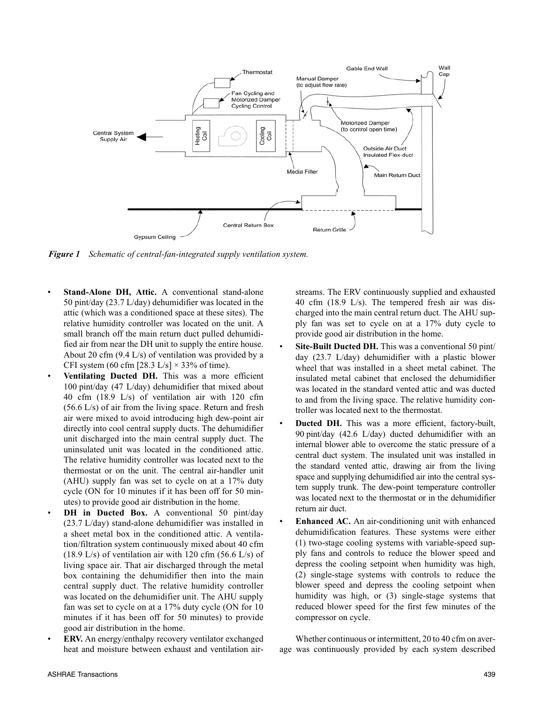

*Figure 1 Schematic of central-fan-integrated supply ventilation system.*

- Stand-Alone DH, Attic. A conventional stand-alone 50 pint/day (23.7 L/day) dehumidifier was located in the attic (which was a conditioned space at these sites). The relative humidity controller was located on the unit. A small branch off the main return duct pulled dehumidified air from near the DH unit to supply the entire house. About 20 cfm (9.4 L/s) of ventilation was provided by a CFI system (60 cfm [28.3 L/s]  $\times$  33% of time).
- **Ventilating Ducted DH.** This was a more efficient 100 pint/day (47 L/day) dehumidifier that mixed about 40 cfm (18.9 L/s) of ventilation air with 120 cfm (56.6 L/s) of air from the living space. Return and fresh air were mixed to avoid introducing high dew-point air directly into cool central supply ducts. The dehumidifier unit discharged into the main central supply duct. The uninsulated unit was located in the conditioned attic. The relative humidity controller was located next to the thermostat or on the unit. The central air-handler unit (AHU) supply fan was set to cycle on at a 17% duty cycle (ON for 10 minutes if it has been off for 50 minutes) to provide good air distribution in the home.
- **DH** in Ducted Box. A conventional 50 pint/day (23.7 L/day) stand-alone dehumidifier was installed in a sheet metal box in the conditioned attic. A ventilation/filtration system continuously mixed about 40 cfm (18.9 L/s) of ventilation air with 120 cfm (56.6 L/s) of living space air. That air discharged through the metal box containing the dehumidifier then into the main central supply duct. The relative humidity controller was located on the dehumidifier unit. The AHU supply fan was set to cycle on at a 17% duty cycle (ON for 10 minutes if it has been off for 50 minutes) to provide good air distribution in the home.
- **ERV.** An energy/enthalpy recovery ventilator exchanged heat and moisture between exhaust and ventilation air-

streams. The ERV continuously supplied and exhausted 40 cfm (18.9 L/s). The tempered fresh air was discharged into the main central return duct. The AHU supply fan was set to cycle on at a 17% duty cycle to provide good air distribution in the home.

- **Site-Built Ducted DH.** This was a conventional 50 pint/ day (23.7 L/day) dehumidifier with a plastic blower wheel that was installed in a sheet metal cabinet. The insulated metal cabinet that enclosed the dehumidifier was located in the standard vented attic and was ducted to and from the living space. The relative humidity controller was located next to the thermostat.
- **Ducted DH.** This was a more efficient, factory-built, 90 pint/day (42.6 L/day) ducted dehumidifier with an internal blower able to overcome the static pressure of a central duct system. The insulated unit was installed in the standard vented attic, drawing air from the living space and supplying dehumidified air into the central system supply trunk. The dew-point temperature controller was located next to the thermostat or in the dehumidifier return air duct.
- **Enhanced AC.** An air-conditioning unit with enhanced dehumidification features. These systems were either (1) two-stage cooling systems with variable-speed supply fans and controls to reduce the blower speed and depress the cooling setpoint when humidity was high, (2) single-stage systems with controls to reduce the blower speed and depress the cooling setpoint when humidity was high, or (3) single-stage systems that reduced blower speed for the first few minutes of the compressor on cycle.

Whether continuous or intermittent, 20 to 40 cfm on average was continuously provided by each system described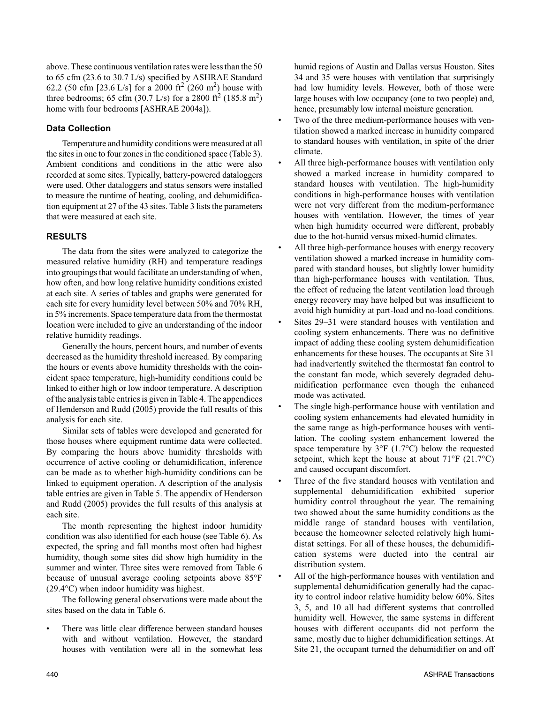above. These continuous ventilation rates were less than the 50 to 65 cfm (23.6 to 30.7 L/s) specified by ASHRAE Standard 62.2 (50 cfm [23.6 L/s] for a 2000 ft<sup>2</sup> (260 m<sup>2</sup>) house with three bedrooms; 65 cfm (30.7 L/s) for a 2800 ft<sup>2</sup> (185.8 m<sup>2</sup>) home with four bedrooms [ASHRAE 2004a]).

#### **Data Collection**

Temperature and humidity conditions were measured at all the sites in one to four zones in the conditioned space (Table 3). Ambient conditions and conditions in the attic were also recorded at some sites. Typically, battery-powered dataloggers were used. Other dataloggers and status sensors were installed to measure the runtime of heating, cooling, and dehumidification equipment at 27 of the 43 sites. Table 3 lists the parameters that were measured at each site.

#### **RESULTS**

The data from the sites were analyzed to categorize the measured relative humidity (RH) and temperature readings into groupings that would facilitate an understanding of when, how often, and how long relative humidity conditions existed at each site. A series of tables and graphs were generated for each site for every humidity level between 50% and 70% RH, in 5% increments. Space temperature data from the thermostat location were included to give an understanding of the indoor relative humidity readings.

Generally the hours, percent hours, and number of events decreased as the humidity threshold increased. By comparing the hours or events above humidity thresholds with the coincident space temperature, high-humidity conditions could be linked to either high or low indoor temperature. A description of the analysis table entries is given in Table 4. The appendices of Henderson and Rudd (2005) provide the full results of this analysis for each site.

Similar sets of tables were developed and generated for those houses where equipment runtime data were collected. By comparing the hours above humidity thresholds with occurrence of active cooling or dehumidification, inference can be made as to whether high-humidity conditions can be linked to equipment operation. A description of the analysis table entries are given in Table 5. The appendix of Henderson and Rudd (2005) provides the full results of this analysis at each site.

The month representing the highest indoor humidity condition was also identified for each house (see Table 6). As expected, the spring and fall months most often had highest humidity, though some sites did show high humidity in the summer and winter. Three sites were removed from Table 6 because of unusual average cooling setpoints above 85°F (29.4°C) when indoor humidity was highest.

The following general observations were made about the sites based on the data in Table 6.

There was little clear difference between standard houses with and without ventilation. However, the standard houses with ventilation were all in the somewhat less humid regions of Austin and Dallas versus Houston. Sites 34 and 35 were houses with ventilation that surprisingly had low humidity levels. However, both of those were large houses with low occupancy (one to two people) and, hence, presumably low internal moisture generation.

- Two of the three medium-performance houses with ventilation showed a marked increase in humidity compared to standard houses with ventilation, in spite of the drier climate.
- All three high-performance houses with ventilation only showed a marked increase in humidity compared to standard houses with ventilation. The high-humidity conditions in high-performance houses with ventilation were not very different from the medium-performance houses with ventilation. However, the times of year when high humidity occurred were different, probably due to the hot-humid versus mixed-humid climates.
- All three high-performance houses with energy recovery ventilation showed a marked increase in humidity compared with standard houses, but slightly lower humidity than high-performance houses with ventilation. Thus, the effect of reducing the latent ventilation load through energy recovery may have helped but was insufficient to avoid high humidity at part-load and no-load conditions.
- Sites 29–31 were standard houses with ventilation and cooling system enhancements. There was no definitive impact of adding these cooling system dehumidification enhancements for these houses. The occupants at Site 31 had inadvertently switched the thermostat fan control to the constant fan mode, which severely degraded dehumidification performance even though the enhanced mode was activated.
- The single high-performance house with ventilation and cooling system enhancements had elevated humidity in the same range as high-performance houses with ventilation. The cooling system enhancement lowered the space temperature by 3°F (1.7°C) below the requested setpoint, which kept the house at about  $71^{\circ}F$  (21.7°C) and caused occupant discomfort.
- Three of the five standard houses with ventilation and supplemental dehumidification exhibited superior humidity control throughout the year. The remaining two showed about the same humidity conditions as the middle range of standard houses with ventilation, because the homeowner selected relatively high humidistat settings. For all of these houses, the dehumidification systems were ducted into the central air distribution system.
- All of the high-performance houses with ventilation and supplemental dehumidification generally had the capacity to control indoor relative humidity below 60%. Sites 3, 5, and 10 all had different systems that controlled humidity well. However, the same systems in different houses with different occupants did not perform the same, mostly due to higher dehumidification settings. At Site 21, the occupant turned the dehumidifier on and off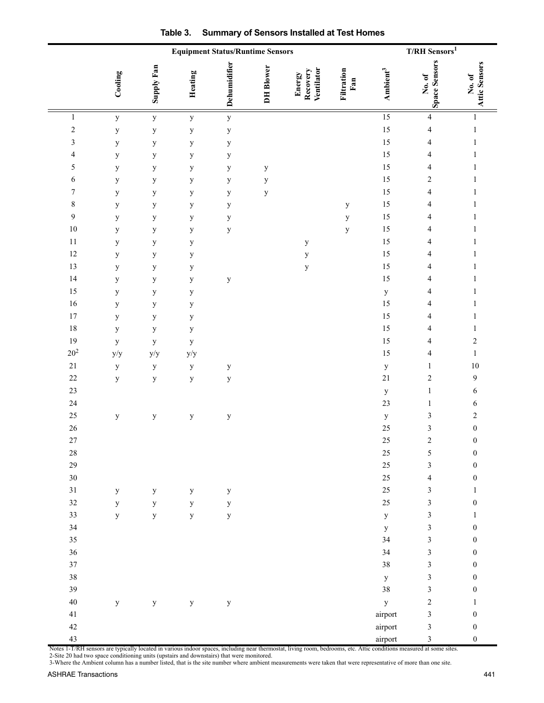|                         |             | <b>Equipment Status/Runtime Sensors</b> | $\rm T/RH~Sensors^1$ |              |                  |                                         |                   |                      |                                |                         |
|-------------------------|-------------|-----------------------------------------|----------------------|--------------|------------------|-----------------------------------------|-------------------|----------------------|--------------------------------|-------------------------|
|                         | Cooling     | Supply Fan                              | Heating              | Dehumidifier | <b>DH</b> Blower | Ventilator<br><b>Recovery</b><br>Energy | Filtration<br>Fan | Ambient <sup>3</sup> | <b>Space Sensors</b><br>No. of | Attic Sensors<br>No. of |
| $\,1$                   | $\mathbf y$ | $\mathbf y$                             | $\mathbf y$          | $\mathbf y$  |                  |                                         |                   | $\overline{15}$      | $\overline{4}$                 | $\mathbf{1}$            |
| $\overline{c}$          | $\mathbf y$ | $\mathbf y$                             | $\mathbf y$          | $\mathbf y$  |                  |                                         |                   | 15                   | $\sqrt{4}$                     | $\mathbf{1}$            |
| $\mathfrak{Z}$          | $\mathbf y$ | $\mathbf y$                             | $\mathbf y$          | $\mathbf{y}$ |                  |                                         |                   | 15                   | $\overline{4}$                 | $\mathbf{1}$            |
| $\overline{\mathbf{4}}$ | $\mathbf y$ | $\mathbf y$                             | $\mathbf y$          | $\mathbf{y}$ |                  |                                         |                   | 15                   | $\overline{\mathcal{A}}$       | $\mathbf{1}$            |
| 5                       | y           | $\mathbf y$                             | $\mathbf y$          | $\mathbf y$  | $\mathbf y$      |                                         |                   | 15                   | $\overline{4}$                 | $\mathbf{1}$            |
| $\sqrt{6}$              | y           | $\mathbf y$                             | $\mathbf y$          | $\mathbf y$  | $\mathbf y$      |                                         |                   | 15                   | $\overline{c}$                 | $\mathbf{1}$            |
| $\boldsymbol{7}$        | $\mathbf y$ | $\mathbf y$                             | $\mathbf y$          | $\mathbf y$  | $\mathbf y$      |                                         |                   | 15                   | $\overline{4}$                 | $\mathbf{1}$            |
| $\,$ $\,$               | $\mathbf y$ | $\mathbf y$                             | $\mathbf y$          | $\mathbf y$  |                  |                                         | $\mathbf y$       | 15                   | $\overline{\mathcal{A}}$       | $\mathbf{1}$            |
| $\boldsymbol{9}$        | $\mathbf y$ | $\mathbf y$                             | $\mathbf y$          | $\mathbf{y}$ |                  |                                         | $\mathbf y$       | 15                   | 4                              | $\mathbf{1}$            |
| $10\,$                  | $\mathbf y$ | $\mathbf y$                             | $\mathbf y$          | $\mathbf y$  |                  |                                         | $\mathbf y$       | 15                   | $\overline{4}$                 | $\mathbf{1}$            |
| $11\,$                  | $\mathbf y$ | $\mathbf y$                             | $\mathbf y$          |              |                  | $\mathbf y$                             |                   | 15                   | $\overline{\mathbf{4}}$        | $\mathbf{1}$            |
| $12\,$                  | $\mathbf y$ | $\mathbf y$                             | $\mathbf y$          |              |                  | $\mathbf y$                             |                   | 15                   | 4                              | $\mathbf{1}$            |
| 13                      | $\mathbf y$ | $\mathbf y$                             | $\mathbf y$          |              |                  | $\mathbf y$                             |                   | 15                   | $\overline{4}$                 | $\mathbf{1}$            |
| 14                      | $\mathbf y$ | $\mathbf y$                             | $\mathbf y$          | $\mathbf y$  |                  |                                         |                   | 15                   | $\overline{\mathbf{4}}$        | $\mathbf{1}$            |
| 15                      | y           | $\mathbf y$                             | $\mathbf y$          |              |                  |                                         |                   | $\mathbf y$          | 4                              | $\mathbf{1}$            |
| $16\,$                  | y           | $\mathbf y$                             | $\mathbf y$          |              |                  |                                         |                   | 15                   | $\overline{\mathbf{4}}$        | $\mathbf{1}$            |
| $17\,$                  | y           | $\mathbf y$                             | $\mathbf y$          |              |                  |                                         |                   | 15                   | $\overline{\mathbf{4}}$        | $\mathbf{1}$            |
| $18\,$                  | $\mathbf y$ | $\mathbf y$                             | $\mathbf y$          |              |                  |                                         |                   | 15                   | 4                              | $\mathbf{1}$            |
| 19                      | $\mathbf y$ | $\mathbf y$                             | $\mathbf y$          |              |                  |                                         |                   | 15                   | $\overline{4}$                 | $\overline{c}$          |
| $20^2$                  | y/y         | y/y                                     | y/y                  |              |                  |                                         |                   | 15                   | $\overline{4}$                 | $\mathbf 1$             |
| $21\,$                  | $\mathbf y$ | $\mathbf y$                             | $\mathbf y$          | $\mathbf y$  |                  |                                         |                   | $\mathbf{y}$         | $\mathbf{1}$                   | $10\,$                  |
| $22\,$                  | $\mathbf y$ | $\mathbf y$                             | $\mathbf y$          | $\mathbf y$  |                  |                                         |                   | $21\,$               | $\sqrt{2}$                     | 9                       |
| 23                      |             |                                         |                      |              |                  |                                         |                   | $\mathbf y$          | $\,1$                          | 6                       |
| 24                      |             |                                         |                      |              |                  |                                         |                   | 23                   | $\mathbf{1}$                   | 6                       |
| $25\,$                  | $\mathbf y$ | $\mathbf y$                             | $\mathbf y$          | $\mathbf y$  |                  |                                         |                   | $\mathbf y$          | $\sqrt{3}$                     | $\overline{c}$          |
| $26\,$                  |             |                                         |                      |              |                  |                                         |                   | 25                   | 3                              | $\boldsymbol{0}$        |
| $27\,$                  |             |                                         |                      |              |                  |                                         |                   | 25                   | $\overline{c}$                 | $\boldsymbol{0}$        |
| $28\,$                  |             |                                         |                      |              |                  |                                         |                   | 25                   | $\sqrt{5}$                     | $\boldsymbol{0}$        |
| 29                      |             |                                         |                      |              |                  |                                         |                   | $25\,$               | $\mathfrak{Z}$                 | $\boldsymbol{0}$        |
| 30                      |             |                                         |                      |              |                  |                                         |                   | $25\,$               | $\overline{4}$                 | $\boldsymbol{0}$        |
| 31                      | $\mathbf y$ | $\mathbf y$                             | $\mathbf{y}$         | $\mathbf{y}$ |                  |                                         |                   | $25\,$               | $\mathfrak{Z}$                 | $\mathbf{1}$            |
| $32\,$                  | $\mathbf y$ | $\mathbf y$                             | $\mathbf{y}$         | $\mathbf{y}$ |                  |                                         |                   | $25\,$               | $\mathfrak{Z}$                 | $\boldsymbol{0}$        |
| 33                      | $\mathbf y$ | $\mathbf y$                             | $\mathbf y$          | $\mathbf y$  |                  |                                         |                   | $\mathbf y$          | $\mathfrak{Z}$                 | $\mathbf{1}$            |
| 34                      |             |                                         |                      |              |                  |                                         |                   | $\mathbf y$          | $\mathfrak{Z}$                 | $\boldsymbol{0}$        |
| 35                      |             |                                         |                      |              |                  |                                         |                   | 34                   | $\mathfrak{Z}$                 | $\boldsymbol{0}$        |
| 36                      |             |                                         |                      |              |                  |                                         |                   | 34                   | $\mathfrak{Z}$                 | $\boldsymbol{0}$        |
| 37                      |             |                                         |                      |              |                  |                                         |                   | $38\,$               | $\mathfrak{Z}$                 | $\boldsymbol{0}$        |
| $38\,$                  |             |                                         |                      |              |                  |                                         |                   | $\mathbf y$          | $\mathfrak{Z}$                 | $\boldsymbol{0}$        |
| 39                      |             |                                         |                      |              |                  |                                         |                   | 38                   | $\mathfrak{Z}$                 | $\boldsymbol{0}$        |
| $40\,$                  | $\mathbf y$ | $\mathbf{y}$                            | $\mathbf y$          | $\mathbf{y}$ |                  |                                         |                   | $\mathbf{y}$         | $\sqrt{2}$                     | $\mathbf{1}$            |
| 41                      |             |                                         |                      |              |                  |                                         |                   | airport              | $\mathfrak{Z}$                 | $\boldsymbol{0}$        |
| $42\,$                  |             |                                         |                      |              |                  |                                         |                   | airport              | $\mathfrak{Z}$                 | $\boldsymbol{0}$        |
| 43                      |             |                                         |                      |              |                  |                                         |                   | airport              | $\mathfrak{Z}$                 | $\boldsymbol{0}$        |

Notes 1-T/RH sensors are typically located in various indoor spaces, including near thermostat, living room, bedrooms, etc. Attic conditions measured at some sites. 2-Site 20 had two space conditioning units (upstairs and downstairs) that were monitored.

3-Where the Ambient column has a number listed, that is the site number where ambient measurements were taken that were representative of more than one site.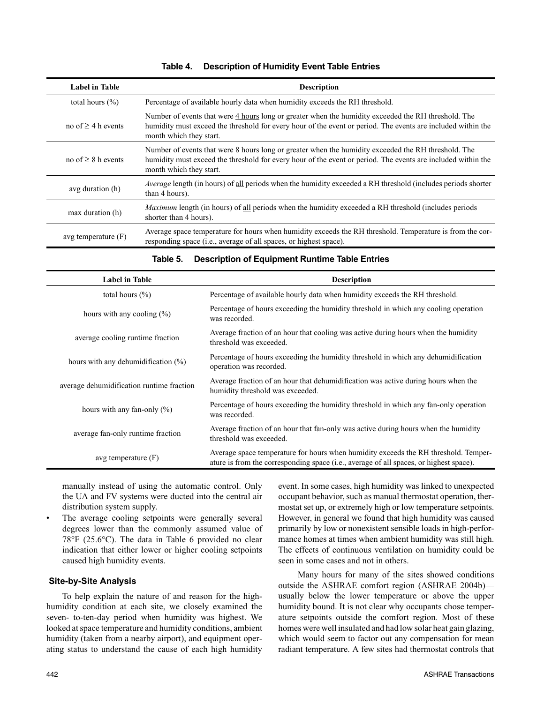| Label in Table          | <b>Description</b>                                                                                                                                                                                                                             |
|-------------------------|------------------------------------------------------------------------------------------------------------------------------------------------------------------------------------------------------------------------------------------------|
| total hours $(\% )$     | Percentage of available hourly data when humidity exceeds the RH threshold.                                                                                                                                                                    |
| no of $\geq$ 4 h events | Number of events that were 4 hours long or greater when the humidity exceeded the RH threshold. The<br>humidity must exceed the threshold for every hour of the event or period. The events are included within the<br>month which they start. |
| no of $\geq 8$ h events | Number of events that were 8 hours long or greater when the humidity exceeded the RH threshold. The<br>humidity must exceed the threshold for every hour of the event or period. The events are included within the<br>month which they start. |
| avg duration (h)        | <i>Average</i> length (in hours) of all periods when the humidity exceeded a RH threshold (includes periods shorter<br>than 4 hours).                                                                                                          |
| max duration (h)        | <i>Maximum</i> length (in hours) of all periods when the humidity exceeded a RH threshold (includes periods<br>shorter than 4 hours).                                                                                                          |
| avg temperature $(F)$   | Average space temperature for hours when humidity exceeds the RH threshold. Temperature is from the cor-<br>responding space (i.e., average of all spaces, or highest space).                                                                  |

#### **Table 4. Description of Humidity Event Table Entries**

| Label in Table                            | <b>Description</b>                                                                                                                                                            |
|-------------------------------------------|-------------------------------------------------------------------------------------------------------------------------------------------------------------------------------|
| total hours $(\% )$                       | Percentage of available hourly data when humidity exceeds the RH threshold.                                                                                                   |
| hours with any cooling $(\%)$             | Percentage of hours exceeding the humidity threshold in which any cooling operation<br>was recorded.                                                                          |
| average cooling runtime fraction          | Average fraction of an hour that cooling was active during hours when the humidity<br>threshold was exceeded.                                                                 |
| hours with any dehumidification $(\%)$    | Percentage of hours exceeding the humidity threshold in which any dehumidification<br>operation was recorded.                                                                 |
| average dehumidification runtime fraction | Average fraction of an hour that dehumidification was active during hours when the<br>humidity threshold was exceeded.                                                        |
| hours with any fan-only $(\% )$           | Percentage of hours exceeding the humidity threshold in which any fan-only operation<br>was recorded.                                                                         |
| average fan-only runtime fraction         | Average fraction of an hour that fan-only was active during hours when the humidity<br>threshold was exceeded.                                                                |
| avg temperature $(F)$                     | Average space temperature for hours when humidity exceeds the RH threshold. Temper-<br>ature is from the corresponding space (i.e., average of all spaces, or highest space). |

#### **Table 5. Description of Equipment Runtime Table Entries**

manually instead of using the automatic control. Only the UA and FV systems were ducted into the central air distribution system supply.

The average cooling setpoints were generally several degrees lower than the commonly assumed value of 78°F (25.6°C). The data in Table 6 provided no clear indication that either lower or higher cooling setpoints caused high humidity events.

#### **Site-by-Site Analysis**

To help explain the nature of and reason for the highhumidity condition at each site, we closely examined the seven- to-ten-day period when humidity was highest. We looked at space temperature and humidity conditions, ambient humidity (taken from a nearby airport), and equipment operating status to understand the cause of each high humidity

event. In some cases, high humidity was linked to unexpected occupant behavior, such as manual thermostat operation, thermostat set up, or extremely high or low temperature setpoints. However, in general we found that high humidity was caused primarily by low or nonexistent sensible loads in high-performance homes at times when ambient humidity was still high. The effects of continuous ventilation on humidity could be seen in some cases and not in others.

 Many hours for many of the sites showed conditions outside the ASHRAE comfort region (ASHRAE 2004b) usually below the lower temperature or above the upper humidity bound. It is not clear why occupants chose temperature setpoints outside the comfort region. Most of these homes were well insulated and had low solar heat gain glazing, which would seem to factor out any compensation for mean radiant temperature. A few sites had thermostat controls that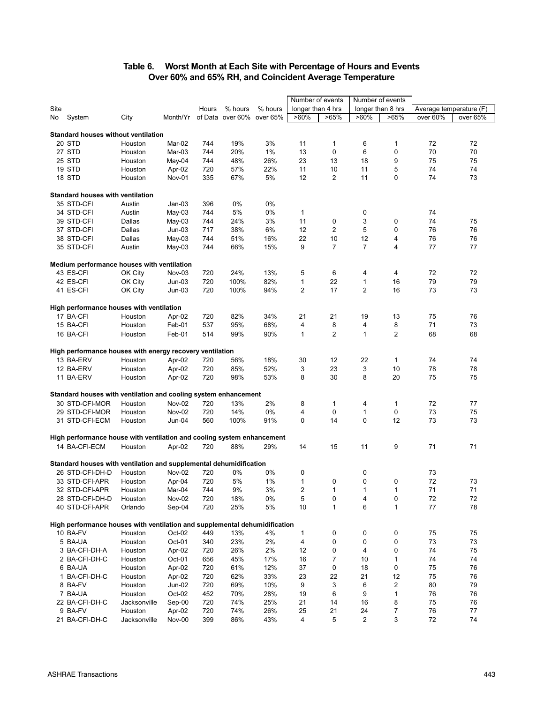#### **Table 6. Worst Month at Each Site with Percentage of Hours and Events Over 60% and 65% RH, and Coincident Average Temperature**

|      |                                                                            |                         |                  |            |                  |            |                | Number of events  |                | Number of events              |                         |          |
|------|----------------------------------------------------------------------------|-------------------------|------------------|------------|------------------|------------|----------------|-------------------|----------------|-------------------------------|-------------------------|----------|
| Site |                                                                            |                         |                  | Hours      | % hours          | % hours    |                | longer than 4 hrs |                | longer than 8 hrs             | Average temperature (F) |          |
| No.  | System                                                                     | City                    | Month/Yr         |            | of Data over 60% | over 65%   | $>60\%$        | >65%              | $>60\%$        | >65%                          | over 60%                | over 65% |
|      |                                                                            |                         |                  |            |                  |            |                |                   |                |                               |                         |          |
|      | <b>Standard houses without ventilation</b>                                 |                         |                  |            |                  |            |                |                   |                |                               |                         |          |
|      | 20 STD                                                                     | Houston                 | Mar-02           | 744        | 19%              | 3%         | 11             | 1                 | 6              | $\mathbf 1$                   | 72                      | 72       |
|      | 27 STD                                                                     | Houston                 | Mar-03           | 744        | 20%              | 1%         | 13             | 0                 | 6              | 0                             | 70                      | 70       |
|      | 25 STD                                                                     | Houston                 | May-04           | 744        | 48%              | 26%        | 23             | 13                | 18             | 9                             | 75                      | 75       |
|      | 19 STD                                                                     | Houston                 | Apr-02           | 720        | 57%              | 22%        | 11             | 10                | 11             | 5                             | 74                      | 74       |
|      | 18 STD                                                                     | Houston                 | Nov-01           | 335        | 67%              | 5%         | 12             | 2                 | 11             | 0                             | 74                      | 73       |
|      | <b>Standard houses with ventilation</b>                                    |                         |                  |            |                  |            |                |                   |                |                               |                         |          |
|      | 35 STD-CFI                                                                 | Austin                  | $Jan-03$         | 396        | 0%               | 0%         |                |                   |                |                               |                         |          |
|      | 34 STD-CFI                                                                 | Austin                  | May-03           | 744        | 5%               | 0%         | 1              |                   | 0              |                               | 74                      |          |
|      | 39 STD-CFI                                                                 | Dallas                  | May-03           | 744        | 24%              | 3%         | 11             | 0                 | 3              | 0                             | 74                      | 75       |
|      | 37 STD-CFI                                                                 | Dallas                  | $Jun-03$         | 717        | 38%              | 6%         | 12             | 2                 | 5              | 0                             | 76                      | 76       |
|      | 38 STD-CFI                                                                 | Dallas                  | May-03           | 744        | 51%              | 16%        | 22             | 10                | 12             | 4                             | 76                      | 76       |
|      | 35 STD-CFI                                                                 | Austin                  | May-03           | 744        | 66%              | 15%        | 9              | $\overline{7}$    | $\overline{7}$ | 4                             | 77                      | 77       |
|      | Medium performance houses with ventilation                                 |                         |                  |            |                  |            |                |                   |                |                               |                         |          |
|      | 43 ES-CFI                                                                  | OK City                 | Nov-03           | 720        | 24%              | 13%        | 5              | 6                 | 4              | 4                             | 72                      | 72       |
|      | 42 ES-CFI                                                                  | OK City                 | $Jun-03$         | 720        | 100%             | 82%        | 1              | 22                | $\mathbf{1}$   | 16                            | 79                      | 79       |
|      | 41 ES-CFI                                                                  | OK City                 | $Jun-03$         | 720        | 100%             | 94%        | $\overline{2}$ | 17                | $\overline{2}$ | 16                            | 73                      | 73       |
|      |                                                                            |                         |                  |            |                  |            |                |                   |                |                               |                         |          |
|      | High performance houses with ventilation                                   |                         |                  |            |                  |            |                |                   |                |                               |                         |          |
|      | 17 BA-CFI                                                                  | Houston                 | Apr-02           | 720        | 82%              | 34%        | 21             | 21                | 19             | 13                            | 75                      | 76       |
|      | 15 BA-CFI                                                                  | Houston                 | Feb-01           | 537        | 95%              | 68%        | 4              | 8                 | 4              | 8                             | 71                      | 73       |
|      | 16 BA-CFI                                                                  | Houston                 | Feb-01           | 514        | 99%              | 90%        | 1              | 2                 | 1              | $\overline{2}$                | 68                      | 68       |
|      | High performance houses with energy recovery ventilation                   |                         |                  |            |                  |            |                |                   |                |                               |                         |          |
|      | 13 BA-ERV                                                                  | Houston                 | Apr-02           | 720        | 56%              | 18%        | 30             | 12                | 22             | 1                             | 74                      | 74       |
|      | 12 BA-ERV                                                                  | Houston                 | Apr-02           | 720        | 85%              | 52%        | 3              | 23                | 3              | 10                            | 78                      | 78       |
|      | 11 BA-ERV                                                                  | Houston                 | Apr-02           | 720        | 98%              | 53%        | 8              | 30                | 8              | 20                            | 75                      | 75       |
|      |                                                                            |                         |                  |            |                  |            |                |                   |                |                               |                         |          |
|      | Standard houses with ventilation and cooling system enhancement            |                         |                  |            |                  |            |                |                   |                |                               |                         |          |
|      | 30 STD-CFI-MOR                                                             | Houston                 | Nov-02           | 720<br>720 | 13%<br>14%       | 2%<br>0%   | 8<br>4         | 1<br>$\mathbf 0$  | 4<br>1         | 1<br>0                        | 72<br>73                | 77<br>75 |
|      | 29 STD-CFI-MOR                                                             | Houston                 | <b>Nov-02</b>    |            |                  |            | $\mathbf 0$    | 14                | $\mathbf 0$    | 12                            | 73                      | 73       |
|      | 31 STD-CFI-ECM                                                             | Houston                 | Jun-04           | 560        | 100%             | 91%        |                |                   |                |                               |                         |          |
|      | High performance house with ventilation and cooling system enhancement     |                         |                  |            |                  |            |                |                   |                |                               |                         |          |
|      | 14 BA-CFI-ECM                                                              | Houston                 | Apr-02           | 720        | 88%              | 29%        | 14             | 15                | 11             | 9                             | 71                      | 71       |
|      | Standard houses with ventilation and supplemental dehumidification         |                         |                  |            |                  |            |                |                   |                |                               |                         |          |
|      | 26 STD-CFI-DH-D                                                            | Houston                 | <b>Nov-02</b>    | 720        | 0%               | 0%         | 0              |                   | 0              |                               | 73                      |          |
|      | 33 STD-CFI-APR                                                             | Houston                 | Apr-04           | 720        | 5%               | 1%         | 1              | 0                 | 0              | 0                             | 72                      | 73       |
|      | 32 STD-CFI-APR                                                             | Houston                 | Mar-04           | 744        | 9%               | 3%         | $\overline{2}$ | 1                 | 1              | 1                             | 71                      | 71       |
|      | 28 STD-CFI-DH-D                                                            | Houston                 | Nov-02           | 720        | 18%              | $0\%$      | 5              | 0                 | 4              | 0                             | 72                      | 72       |
|      | 40 STD-CFI-APR                                                             | Orlando                 | Sep-04           | 720        | 25%              | 5%         | 10             | 1                 | 6              | 1                             | $77\,$                  | 78       |
|      |                                                                            |                         |                  |            |                  |            |                |                   |                |                               |                         |          |
|      | High performance houses with ventilation and supplemental dehumidification |                         |                  |            |                  |            |                |                   |                |                               |                         |          |
|      | 10 BA-FV                                                                   | Houston                 | Oct-02           | 449        | 13%              | 4%         | 1              | 0                 | 0              | 0                             | 75                      | 75       |
|      | 5 BA-UA                                                                    | Houston                 | Oct-01           | 340        | 23%              | 2%         | 4              | 0                 | 0              | 0                             | 73                      | 73       |
|      | 3 BA-CFI-DH-A                                                              | Houston                 | Apr-02           | 720        | 26%              | 2%         | 12             | 0                 | 4              | 0                             | 74                      | 75       |
|      | 2 BA-CFI-DH-C                                                              | Houston                 | $Oct-01$         | 656        | 45%              | 17%        | 16             | 7                 | 10             | 1                             | 74                      | 74       |
|      | 6 BA-UA                                                                    | Houston                 | Apr-02           | 720        | 61%              | 12%        | 37             | 0                 | 18             | 0                             | 75                      | 76       |
|      | 1 BA-CFI-DH-C<br>8 BA-FV                                                   | Houston<br>Houston      | Apr-02<br>Jun-02 | 720        | 62%              | 33%        | 23             | 22                | 21             | 12<br>$\overline{\mathbf{c}}$ | 75<br>80                | 76<br>79 |
|      | 7 BA-UA                                                                    |                         | Oct-02           | 720        | 69%              | 10%        | 9              | 3                 | 6              |                               |                         |          |
|      |                                                                            | Houston                 |                  | 452        | 70%              | 28%        | 19             | 6                 | 9              | 1                             | 76<br>75                | 76<br>76 |
|      | 22 BA-CFI-DH-C<br>9 BA-FV                                                  | Jacksonville<br>Houston | Sep-00<br>Apr-02 | 720<br>720 | 74%<br>74%       | 25%<br>26% | 21<br>25       | 14<br>21          | 16<br>24       | 8<br>7                        | 76                      | 77       |
|      | 21 BA-CFI-DH-C                                                             | Jacksonville            | Nov-00           | 399        | 86%              | 43%        | 4              | 5                 | 2              | 3                             | 72                      | 74       |
|      |                                                                            |                         |                  |            |                  |            |                |                   |                |                               |                         |          |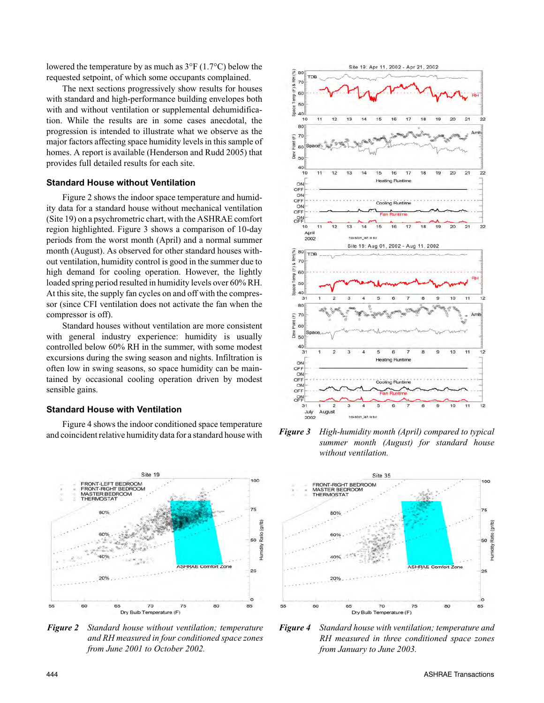lowered the temperature by as much as 3°F (1.7°C) below the requested setpoint, of which some occupants complained.

The next sections progressively show results for houses with standard and high-performance building envelopes both with and without ventilation or supplemental dehumidification. While the results are in some cases anecdotal, the progression is intended to illustrate what we observe as the major factors affecting space humidity levels in this sample of homes. A report is available (Henderson and Rudd 2005) that provides full detailed results for each site.

#### **Standard House without Ventilation**

Figure 2 shows the indoor space temperature and humidity data for a standard house without mechanical ventilation (Site 19) on a psychrometric chart, with the ASHRAE comfort region highlighted. Figure 3 shows a comparison of 10-day periods from the worst month (April) and a normal summer month (August). As observed for other standard houses without ventilation, humidity control is good in the summer due to high demand for cooling operation. However, the lightly loaded spring period resulted in humidity levels over 60% RH. At this site, the supply fan cycles on and off with the compressor (since CFI ventilation does not activate the fan when the compressor is off).

Standard houses without ventilation are more consistent with general industry experience: humidity is usually controlled below 60% RH in the summer, with some modest excursions during the swing season and nights. Infiltration is often low in swing seasons, so space humidity can be maintained by occasional cooling operation driven by modest sensible gains.

#### **Standard House with Ventilation**

Figure 4 shows the indoor conditioned space temperature and coincident relative humidity data for a standard house with



*Figure 2 Standard house without ventilation; temperature and RH measured in four conditioned space zones from June 2001 to October 2002.*



*Figure 3 High-humidity month (April) compared to typical summer month (August) for standard house without ventilation.*



*Figure 4 Standard house with ventilation; temperature and RH measured in three conditioned space zones from January to June 2003.*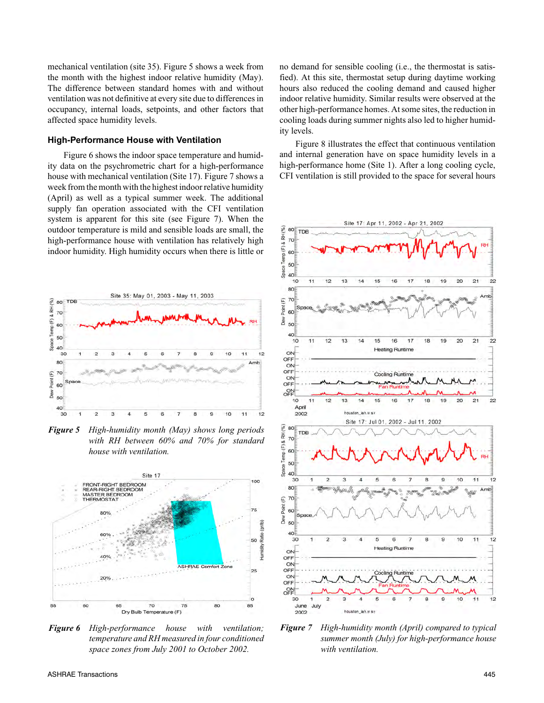mechanical ventilation (site 35). Figure 5 shows a week from the month with the highest indoor relative humidity (May). The difference between standard homes with and without ventilation was not definitive at every site due to differences in occupancy, internal loads, setpoints, and other factors that affected space humidity levels.

#### **High-Performance House with Ventilation**

Figure 6 shows the indoor space temperature and humidity data on the psychrometric chart for a high-performance house with mechanical ventilation (Site 17). Figure 7 shows a week from the month with the highest indoor relative humidity (April) as well as a typical summer week. The additional supply fan operation associated with the CFI ventilation system is apparent for this site (see Figure 7). When the outdoor temperature is mild and sensible loads are small, the high-performance house with ventilation has relatively high indoor humidity. High humidity occurs when there is little or



*Figure 5 High-humidity month (May) shows long periods with RH between 60% and 70% for standard house with ventilation.*



*Figure 6 High-performance house with ventilation; temperature and RH measured in four conditioned space zones from July 2001 to October 2002.*

no demand for sensible cooling (i.e., the thermostat is satisfied). At this site, thermostat setup during daytime working hours also reduced the cooling demand and caused higher indoor relative humidity. Similar results were observed at the other high-performance homes. At some sites, the reduction in cooling loads during summer nights also led to higher humidity levels.

Figure 8 illustrates the effect that continuous ventilation and internal generation have on space humidity levels in a high-performance home (Site 1). After a long cooling cycle, CFI ventilation is still provided to the space for several hours



*Figure 7 High-humidity month (April) compared to typical summer month (July) for high-performance house with ventilation.*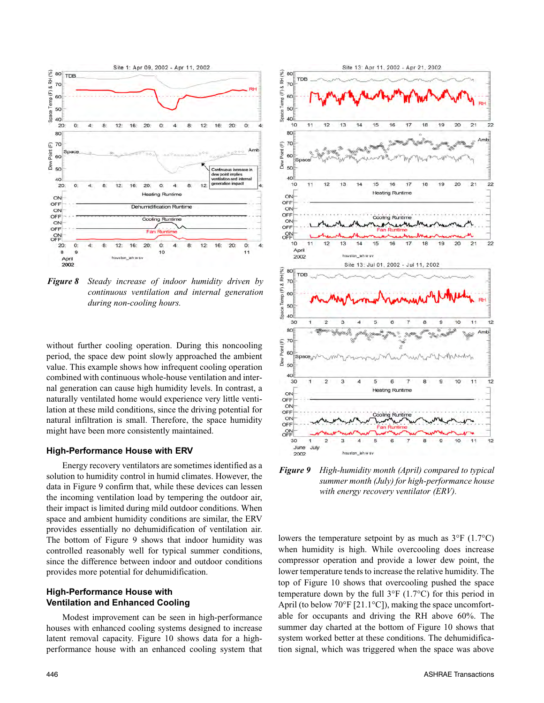

*Figure 8 Steady increase of indoor humidity driven by continuous ventilation and internal generation during non-cooling hours.*

without further cooling operation. During this noncooling period, the space dew point slowly approached the ambient value. This example shows how infrequent cooling operation combined with continuous whole-house ventilation and internal generation can cause high humidity levels. In contrast, a naturally ventilated home would experience very little ventilation at these mild conditions, since the driving potential for natural infiltration is small. Therefore, the space humidity might have been more consistently maintained.

#### **High-Performance House with ERV**

Energy recovery ventilators are sometimes identified as a solution to humidity control in humid climates. However, the data in Figure 9 confirm that, while these devices can lessen the incoming ventilation load by tempering the outdoor air, their impact is limited during mild outdoor conditions. When space and ambient humidity conditions are similar, the ERV provides essentially no dehumidification of ventilation air. The bottom of Figure 9 shows that indoor humidity was controlled reasonably well for typical summer conditions, since the difference between indoor and outdoor conditions provides more potential for dehumidification.

#### **High-Performance House with Ventilation and Enhanced Cooling**

Modest improvement can be seen in high-performance houses with enhanced cooling systems designed to increase latent removal capacity. Figure 10 shows data for a highperformance house with an enhanced cooling system that



*Figure 9 High-humidity month (April) compared to typical summer month (July) for high-performance house with energy recovery ventilator (ERV).*

lowers the temperature setpoint by as much as  $3^{\circ}F$  (1.7 $^{\circ}C$ ) when humidity is high. While overcooling does increase compressor operation and provide a lower dew point, the lower temperature tends to increase the relative humidity. The top of Figure 10 shows that overcooling pushed the space temperature down by the full  $3^{\circ}F$  (1.7 $^{\circ}C$ ) for this period in April (to below 70°F [21.1°C]), making the space uncomfortable for occupants and driving the RH above 60%. The summer day charted at the bottom of Figure 10 shows that system worked better at these conditions. The dehumidification signal, which was triggered when the space was above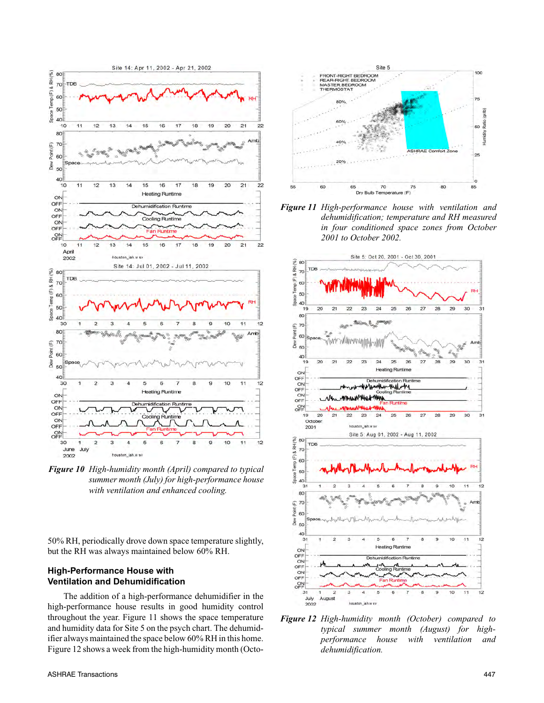

*Figure 10 High-humidity month (April) compared to typical summer month (July) for high-performance house with ventilation and enhanced cooling.*

50% RH, periodically drove down space temperature slightly, but the RH was always maintained below 60% RH.

#### **High-Performance House with Ventilation and Dehumidification**

The addition of a high-performance dehumidifier in the high-performance house results in good humidity control throughout the year. Figure 11 shows the space temperature and humidity data for Site 5 on the psych chart. The dehumidifier always maintained the space below 60% RH in this home. Figure 12 shows a week from the high-humidity month (Octo-



*Figure 11 High-performance house with ventilation and dehumidification; temperature and RH measured in four conditioned space zones from October 2001 to October 2002.*



*Figure 12 High-humidity month (October) compared to typical summer month (August) for highperformance house with ventilation and dehumidification.*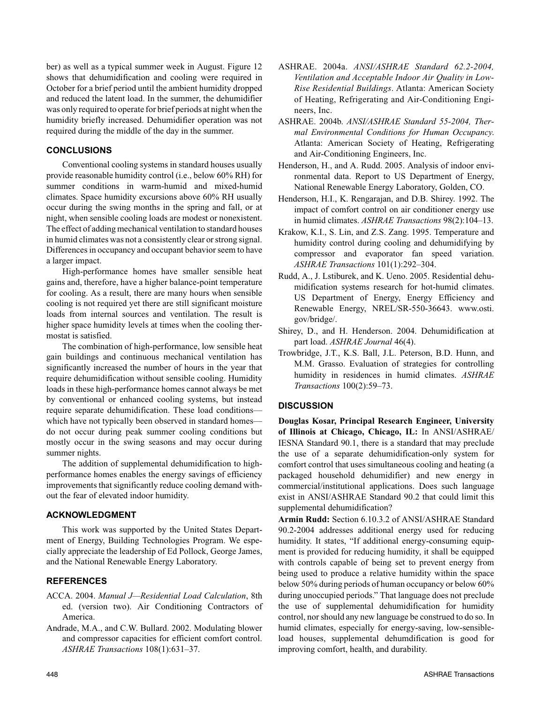ber) as well as a typical summer week in August. Figure 12 shows that dehumidification and cooling were required in October for a brief period until the ambient humidity dropped and reduced the latent load. In the summer, the dehumidifier was only required to operate for brief periods at night when the humidity briefly increased. Dehumidifier operation was not required during the middle of the day in the summer.

#### **CONCLUSIONS**

Conventional cooling systems in standard houses usually provide reasonable humidity control (i.e., below 60% RH) for summer conditions in warm-humid and mixed-humid climates. Space humidity excursions above 60% RH usually occur during the swing months in the spring and fall, or at night, when sensible cooling loads are modest or nonexistent. The effect of adding mechanical ventilation to standard houses in humid climates was not a consistently clear or strong signal. Differences in occupancy and occupant behavior seem to have a larger impact.

High-performance homes have smaller sensible heat gains and, therefore, have a higher balance-point temperature for cooling. As a result, there are many hours when sensible cooling is not required yet there are still significant moisture loads from internal sources and ventilation. The result is higher space humidity levels at times when the cooling thermostat is satisfied.

The combination of high-performance, low sensible heat gain buildings and continuous mechanical ventilation has significantly increased the number of hours in the year that require dehumidification without sensible cooling. Humidity loads in these high-performance homes cannot always be met by conventional or enhanced cooling systems, but instead require separate dehumidification. These load conditions which have not typically been observed in standard homes do not occur during peak summer cooling conditions but mostly occur in the swing seasons and may occur during summer nights.

The addition of supplemental dehumidification to highperformance homes enables the energy savings of efficiency improvements that significantly reduce cooling demand without the fear of elevated indoor humidity.

#### **ACKNOWLEDGMENT**

This work was supported by the United States Department of Energy, Building Technologies Program. We especially appreciate the leadership of Ed Pollock, George James, and the National Renewable Energy Laboratory.

#### **REFERENCES**

- ACCA. 2004. *Manual J—Residential Load Calculation*, 8th ed. (version two). Air Conditioning Contractors of America.
- Andrade, M.A., and C.W. Bullard. 2002. Modulating blower and compressor capacities for efficient comfort control. *ASHRAE Transactions* 108(1):631–37.
- ASHRAE. 2004a. *ANSI/ASHRAE Standard 62.2-2004, Ventilation and Acceptable Indoor Air Quality in Low-Rise Residential Buildings*. Atlanta: American Society of Heating, Refrigerating and Air-Conditioning Engineers, Inc.
- ASHRAE. 2004b. *ANSI/ASHRAE Standard 55-2004, Thermal Environmental Conditions for Human Occupancy*. Atlanta: American Society of Heating, Refrigerating and Air-Conditioning Engineers, Inc.
- Henderson, H., and A. Rudd. 2005. Analysis of indoor environmental data. Report to US Department of Energy, National Renewable Energy Laboratory, Golden, CO.
- Henderson, H.I., K. Rengarajan, and D.B. Shirey. 1992. The impact of comfort control on air conditioner energy use in humid climates. *ASHRAE Transactions* 98(2):104–13.
- Krakow, K.I., S. Lin, and Z.S. Zang. 1995. Temperature and humidity control during cooling and dehumidifying by compressor and evaporator fan speed variation. *ASHRAE Transactions* 101(1):292–304.
- Rudd, A., J. Lstiburek, and K. Ueno. 2005. Residential dehumidification systems research for hot-humid climates. US Department of Energy, Energy Efficiency and Renewable Energy, NREL/SR-550-36643. www.osti. gov/bridge/.
- Shirey, D., and H. Henderson. 2004. Dehumidification at part load. *ASHRAE Journal* 46(4).
- Trowbridge, J.T., K.S. Ball, J.L. Peterson, B.D. Hunn, and M.M. Grasso. Evaluation of strategies for controlling humidity in residences in humid climates. *ASHRAE Transactions* 100(2):59–73.

#### **DISCUSSION**

**Douglas Kosar, Principal Research Engineer, University of Illinois at Chicago, Chicago, IL:** In ANSI/ASHRAE/ IESNA Standard 90.1, there is a standard that may preclude the use of a separate dehumidification-only system for comfort control that uses simultaneous cooling and heating (a packaged household dehumidifier) and new energy in commercial/institutional applications. Does such language exist in ANSI/ASHRAE Standard 90.2 that could limit this supplemental dehumidification?

**Armin Rudd:** Section 6.10.3.2 of ANSI/ASHRAE Standard 90.2-2004 addresses additional energy used for reducing humidity. It states, "If additional energy-consuming equipment is provided for reducing humidity, it shall be equipped with controls capable of being set to prevent energy from being used to produce a relative humidity within the space below 50% during periods of human occupancy or below 60% during unoccupied periods." That language does not preclude the use of supplemental dehumidification for humidity control, nor should any new language be construed to do so. In humid climates, especially for energy-saving, low-sensibleload houses, supplemental dehumdification is good for improving comfort, health, and durability.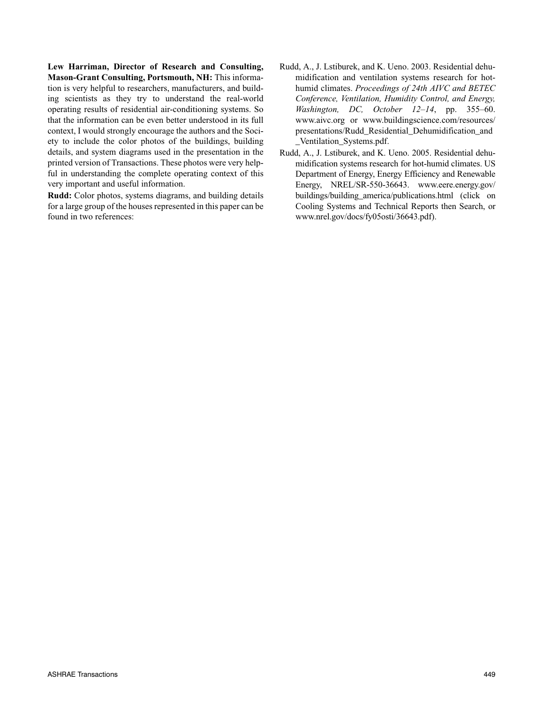**Lew Harriman, Director of Research and Consulting, Mason-Grant Consulting, Portsmouth, NH:** This information is very helpful to researchers, manufacturers, and building scientists as they try to understand the real-world operating results of residential air-conditioning systems. So that the information can be even better understood in its full context, I would strongly encourage the authors and the Society to include the color photos of the buildings, building details, and system diagrams used in the presentation in the printed version of Transactions. These photos were very helpful in understanding the complete operating context of this very important and useful information.

**Rudd:** Color photos, systems diagrams, and building details for a large group of the houses represented in this paper can be found in two references:

- Rudd, A., J. Lstiburek, and K. Ueno. 2003. Residential dehumidification and ventilation systems research for hothumid climates. *Proceedings of 24th AIVC and BETEC Conference, Ventilation, Humidity Control, and Energy, Washington, DC, October 12–14*, pp. 355–60. www.aivc.org or www.buildingscience.com/resources/ presentations/Rudd\_Residential\_Dehumidification\_and \_Ventilation\_Systems.pdf.
- Rudd, A., J. Lstiburek, and K. Ueno. 2005. Residential dehumidification systems research for hot-humid climates. US Department of Energy, Energy Efficiency and Renewable Energy, NREL/SR-550-36643. www.eere.energy.gov/ buildings/building\_america/publications.html (click on Cooling Systems and Technical Reports then Search, or www.nrel.gov/docs/fy05osti/36643.pdf).